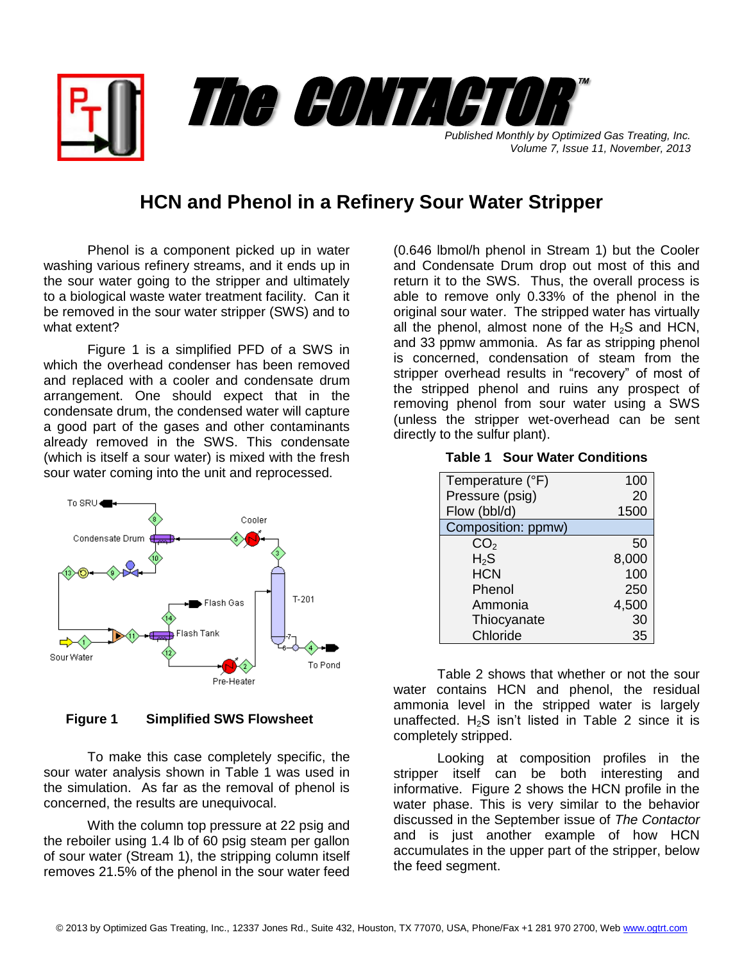*Published Monthly by Optimized Gas Treating, Inc. Volume 7, Issue 11, November, 2013* The CONTACTO

# **HCN and Phenol in a Refinery Sour Water Stripper**

Phenol is a component picked up in water washing various refinery streams, and it ends up in the sour water going to the stripper and ultimately to a biological waste water treatment facility. Can it be removed in the sour water stripper (SWS) and to what extent?

Figure 1 is a simplified PFD of a SWS in which the overhead condenser has been removed and replaced with a cooler and condensate drum arrangement. One should expect that in the condensate drum, the condensed water will capture a good part of the gases and other contaminants already removed in the SWS. This condensate (which is itself a sour water) is mixed with the fresh sour water coming into the unit and reprocessed.



#### **Figure 1 Simplified SWS Flowsheet**

To make this case completely specific, the sour water analysis shown in Table 1 was used in the simulation. As far as the removal of phenol is concerned, the results are unequivocal.

With the column top pressure at 22 psig and the reboiler using 1.4 lb of 60 psig steam per gallon of sour water (Stream 1), the stripping column itself removes 21.5% of the phenol in the sour water feed

(0.646 lbmol/h phenol in Stream 1) but the Cooler and Condensate Drum drop out most of this and return it to the SWS. Thus, the overall process is able to remove only 0.33% of the phenol in the original sour water. The stripped water has virtually all the phenol, almost none of the  $H_2S$  and HCN, and 33 ppmw ammonia. As far as stripping phenol is concerned, condensation of steam from the stripper overhead results in "recovery" of most of the stripped phenol and ruins any prospect of removing phenol from sour water using a SWS (unless the stripper wet-overhead can be sent directly to the sulfur plant).

™

| Temperature (°F)   | 100   |
|--------------------|-------|
| Pressure (psig)    | 20    |
| Flow (bbl/d)       | 1500  |
| Composition: ppmw) |       |
| CO <sub>2</sub>    | 50    |
| $H_{2}S$           | 8,000 |
| <b>HCN</b>         | 100   |

Phenol 250 Ammonia 4,500 Thiocyanate 30 Chloride 35

#### **Table 1 Sour Water Conditions**

Table 2 shows that whether or not the sour water contains HCN and phenol, the residual ammonia level in the stripped water is largely unaffected.  $H_2S$  isn't listed in Table 2 since it is completely stripped.

Looking at composition profiles in the stripper itself can be both interesting and informative. Figure 2 shows the HCN profile in the water phase. This is very similar to the behavior discussed in the September issue of *The Contactor* and is just another example of how HCN accumulates in the upper part of the stripper, below the feed segment.